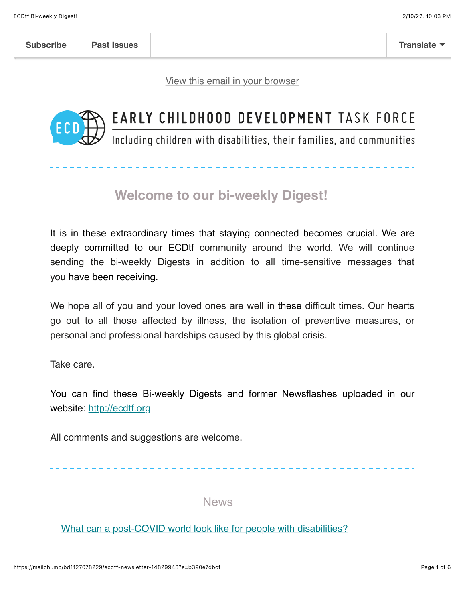[View this email in your browser](https://mailchi.mp/bd1127078229/ecdtf-newsletter-14829948?e=b390e7dbcf)



## EARLY CHILDHOOD DEVELOPMENT TASK FORCE

Including children with disabilities, their families, and communities

## **Welcome to our bi-weekly Digest!**

It is in these extraordinary times that staying connected becomes crucial. We are deeply committed to our ECDtf community around the world. We will continue sending the bi-weekly Digests in addition to all time-sensitive messages that you have been receiving.

We hope all of you and your loved ones are well in these difficult times. Our hearts go out to all those affected by illness, the isolation of preventive measures, or personal and professional hardships caused by this global crisis.

Take care.

You can find these Bi-weekly Digests and former Newsflashes uploaded in our website: [http://ecdtf.org](http://ecdtf.org/)

All comments and suggestions are welcome.

News

[What can a post-COVID world look like for people with disabilities?](https://www.ai-media.tv/what-can-a-post-covid-world-look-like-for-people-with-disabilities/?utm_campaign=IDPwD%202021&utm_medium=email&_hsmi=183311335&_hsenc=p2ANqtz-_qN6V6nVLmLECddB62L18CDgJQn9xKI8_jnZElZnTKDyxlB3vdBEyycZ8EnEwYWfU2UGMqZpFY7PbJ6eK-lAiyV4PIMw&utm_content=183311335&utm_source=hs_email)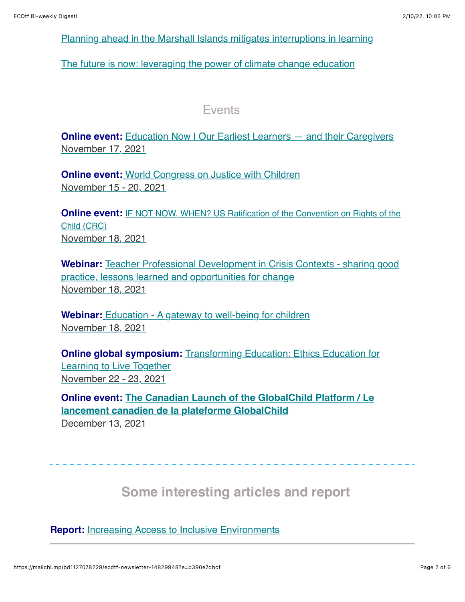[Planning ahead in the Marshall Islands mitigates interruptions in learning](https://www.globalpartnership.org/blog/planning-ahead-marshall-islands-mitigates-interruptions-learning)

[The future is now: leveraging the power of climate change education](https://www.globalpartnership.org/blog/future-now-leveraging-power-climate-change-education)

Events

**Online event:** [Education Now | Our Earliest Learners — and their Caregivers](https://harvard.zoom.us/webinar/register/1516333648601/WN_Jo3nD5XXTxyN43pR3HhM1g) [November 17, 2021](https://www.worldbank.org/en/events/2021/11/15/driving-innovation-in-nutrition-financing#1)

**Online event[:](https://justicewithchildren.org/online-2021/) [World Congress on Justice with Children](https://justicewithchildren.org/online-2021/)** [November 15 - 20, 2021](https://www.worldbank.org/en/events/2021/11/15/driving-innovation-in-nutrition-financing#1)

**Online event: [IF NOT NOW, WHEN? US Ratification of the Convention on Rights of the](https://docs.google.com/forms/d/e/1FAIpQLSeWfsg7KmPYip84vpfjhiYBc_-sjQaXK-ojTueFUnXK7OFARA/viewform)** Child (CRC) [November 18, 2021](https://www.worldbank.org/en/events/2021/11/15/driving-innovation-in-nutrition-financing#1)

**Webinar:** [Teacher Professional Development in Crisis Contexts - sharing good](https://rescue.zoom.us/webinar/register/WN_a19JhtO8SuKx1GaXH0eM8A) practice, lessons learned and opportunities for change [November 18, 2021](https://www.worldbank.org/en/events/2021/11/15/driving-innovation-in-nutrition-financing#1)

**Webinar:** [Education - A gateway to well-being for children](https://eurochild.wufoo.com/forms/q1mx4kud0be90cg/) [November 18, 2021](https://www.worldbank.org/en/events/2021/11/15/driving-innovation-in-nutrition-financing#1)

**Online global symposium:** [Transforming Education: Ethics Education for](https://ethicseducationforchildren.org/online-symposium/) Learning to Live Together [November 22 - 23, 2021](https://www.worldbank.org/en/events/2021/11/15/driving-innovation-in-nutrition-financing#1)

**[Online event: The Canadian Launch of the GlobalChild Platform / Le](https://events.eply.com/GlobalChildCdnLaunch) lancement canadien de la plateforme GlobalChild** December 13, 2021

 **Some interesting articles and report** 

**Report:** [Increasing Access to Inclusive Environments](https://childcareta.acf.hhs.gov/sites/default/files/public/increasing_access_to_inclusive_environments.pdf)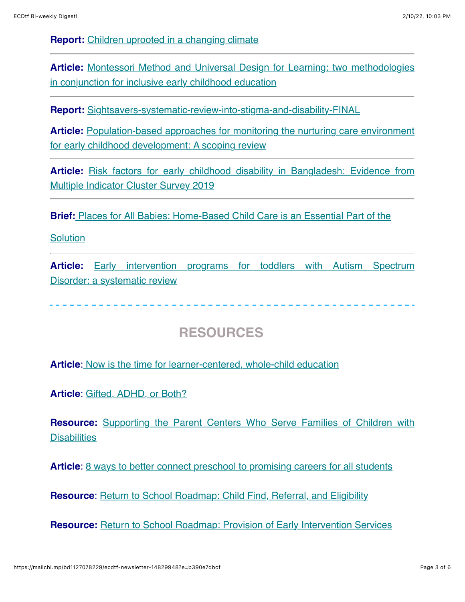**Report:** [Children uprooted in a changing climate](https://www.unicef.org/reports/children-uprooted-changing-climate?fbclid=IwAR3eRuCi4shTwWfwz_pO2Hn7XoF3uAeZuAUMClWKsGL6J8Sc7zkwjrNmLbM)

**Article:** [Montessori Method and Universal Design for Learning: two methodologies](https://mcusercontent.com/fdbb07179dc5a2d4ccfab37d9/files/cabd91a4-f488-d92b-f816-6073313ebcc1/12194_Article_Text_51007_1_10_20211031.pdf) in conjunction for inclusive early childhood education

**Report:** [Sightsavers-systematic-review-into-stigma-and-disability-FINAL](https://research.sightsavers.org/wp-content/uploads/sites/8/2021/05/Sightsavers-systematic-review-into-stigma-and-disability-FINAL.pdf)

**Article:** Population-[based approaches for monitoring the nurturing care environment](https://onlinelibrary.wiley.com/doi/epdf/10.1111/mcn.13276) for early childhood development: A scoping review

**Article:** [Risk factors for early childhood disability in Bangladesh: Evidence from](https://journals.plos.org/plosone/article?id=10.1371/journal.pone.0259532) Multiple Indicator Cluster Survey 2019

**Brief[:](https://www.zerotothree.org/resources/4234-places-for-all-babies-home-based-child-care-is-an-essential-part-of-the-solution?utm_source=email_link&utm_medium=email&utm_campaign=Q1_2022_Policy+Center_Resources&utm_content=home_based_child_care_brief_11.12.2021)** [Places for All Babies: Home-Based Child Care is an Essential Part of the](https://www.zerotothree.org/resources/4234-places-for-all-babies-home-based-child-care-is-an-essential-part-of-the-solution?utm_source=email_link&utm_medium=email&utm_campaign=Q1_2022_Policy+Center_Resources&utm_content=home_based_child_care_brief_11.12.2021)

**Solution** 

**Article:** [Early intervention programs for toddlers with Autism Spectrum](https://rsdjournal.org/index.php/rsd/article/view/21935/19395) Disorder: a systematic review

## **RESOURCES**

**Article**[:](https://edsource.org/2021/now-is-the-time-for-learner-centered-whole-child-education/663050) [Now is the time for learner-centered, whole-child education](https://na01.safelinks.protection.outlook.com/?url=http%3A%2F%2Fsm1.multiview.com%2Ft%2FgcH1AAebaBPWLA-tQKGHcCMGnFvaFOrK2YKmaaaaFOrBQYYCHeaa%3Fp%3D5_1949~amp%3BZ%3Do_Zmalh~258wlkxieep.Ysi~amp%3Bp%3DX~amp%3B1%3D&data=04%7C01%7C%7C208c51a5c42d468dadcf08d9a47415c0%7C84df9e7fe9f640afb435aaaaaaaaaaaa%7C1%7C0%7C637721640784372294%7CUnknown%7CTWFpbGZsb3d8eyJWIjoiMC4wLjAwMDAiLCJQIjoiV2luMzIiLCJBTiI6Ik1haWwiLCJXVCI6Mn0%3D%7C1000&sdata=wHyj2W2lOmJYWHMMJ5qhCb9UrKau1%2FmHl09WzjHPSd8%3D&reserved=0)

**Article**: [Gifted, ADHD, or Both?](https://www.davidsongifted.org/gifted-blog/gifted-adhd-or-both/)

**Resource:** [Supporting the Parent Centers Who Serve Families of Children with](https://www.parentcenterhub.org/?utm_content=&utm_medium=email&utm_name=&utm_source=govdelivery&utm_term=) **Disabilities** 

**Article**: [8 ways to better connect preschool to promising careers for all students](https://districtadministration.com/8-ways-connect-preschool-promising-college-careers-students/)

**Resource**: [Return to School Roadmap: Child Find, Referral, and Eligibility](https://sites.ed.gov/idea/idea-files/return-to-school-roadmap-child-find-referral-and-eligibility-oct-29-2021/?utm_content=&utm_medium=email&utm_name=&utm_source=govdelivery&utm_term=)

**Resource:** [Return to School Roadmap: Provision of Early Intervention Services](https://sites.ed.gov/idea/idea-files/return-to-school-roadmap-provision-of-early-intervention-services-oct-29-2021/?utm_content=&utm_medium=email&utm_name=&utm_source=govdelivery&utm_term=)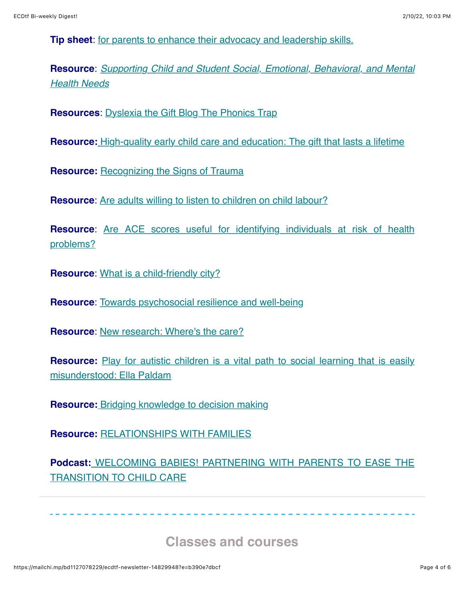**Tip sheet**: [for parents to enhance their advocacy and leadership skills.](https://eclkc.ohs.acf.hhs.gov/sites/default/files/pdf/you-are-a-leader.pdf?utm_content=&utm_medium=email&utm_name=&utm_source=govdelivery&utm_term=)

**Resource**: *[Supporting Child and Student Social, Emotional, Behavioral, and Mental](https://www2.ed.gov/documents/students/supporting-child-student-social-emotional-behavioral-mental-health.pdf?utm_content=&utm_medium=email&utm_name=&utm_source=govdelivery&utm_term=) Health Needs*

**Resources**: [Dyslexia the Gift Blog The Phonics Trap](https://blog.dyslexia.com/the-phonics-trap/)

**Resource:** [High-quality early child care and education: The gift that lasts a lifetime](https://na01.safelinks.protection.outlook.com/?url=http%3A%2F%2Fsm1.multiview.com%2Ft%2FgcH1AAebaBPWLA-tQKGHcCMGnFvaFOrK2YKmaaaaFOrBQYYCHeaa%3Fp%3D5_1949~amp%3BZ%3Do_Zmalh~258wlkxieep.Ysi~amp%3Bp%3D7i~amp%3Bt%3D&data=04%7C01%7C%7C208c51a5c42d468dadcf08d9a47415c0%7C84df9e7fe9f640afb435aaaaaaaaaaaa%7C1%7C0%7C637721640784511686%7CUnknown%7CTWFpbGZsb3d8eyJWIjoiMC4wLjAwMDAiLCJQIjoiV2luMzIiLCJBTiI6Ik1haWwiLCJXVCI6Mn0%3D%7C1000&sdata=uQB7AaqTSx8w%2Bupifk75nO8f8pco8iR8bpCZ%2FQWaslw%3D&reserved=0)

**Resource: [Recognizing the Signs of Trauma](https://www.edutopia.org/article/recognizing-signs-trauma)** 

**Resource:** [Are adults willing to listen to children on child labour?](https://www.opendemocracy.net/en/beyond-trafficking-and-slavery/are-adults-willing-to-listen-to-children-on-child-labour/?fbclid=IwAR0bWC1ZfGUHkeD5kxJalCbD6sYoQUD7VGGbYF7CRDXD6bPwFa0Ml2_m9yE)

**Resource**[: Are ACE scores useful for identifying individuals at risk of health](https://www.acamh.org/expert-perspectives/aces-identifying-health-risk/) problems?

**Resource:** [What is a child-friendly city?](https://childfriendlycities.org/what-is-a-child-friendly-city/)

**Resource**: [Towards psychosocial resilience and well-being](https://childhub.org/en/child-protection-online-library/towards-psychosocial-resilience-and-well-being)

**Resource**: [New research: Where's the care?](https://www.togethertrust.org.uk/news/new-research-wheres-care?fbclid=IwAR15tZqMr2JpZ91GKZiuF4XsrVFjNp4QISu3jXlsaHIg3b1em9aqP78hjGk)

**Resource:** [Play for autistic children is a vital path to social learning that is easily](https://childandfamilyblog.com/autistic-children-play/) misunderstood: Ella Paldam

**Resource:** [Bridging knowledge to decision making](https://www.child-encyclopedia.com/)

**Resource:** [RELATIONSHIPS WITH FAMILIES](https://www.inclusivechildcare.org/resource-library/tipsheet/relationships-families)

**Podcast[:](https://www.inclusivechildcare.org/podcast-inclusion-matters/welcoming-babies-partnering-parents-ease-transition-child-care)** [WELCOMING BABIES! PARTNERING WITH PARENTS TO EASE THE](https://www.inclusivechildcare.org/podcast-inclusion-matters/welcoming-babies-partnering-parents-ease-transition-child-care) TRANSITION TO CHILD CARE

 **Classes and courses**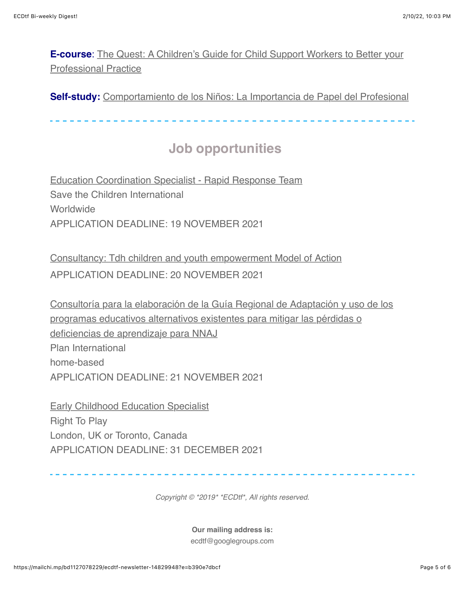**E-course**[: The Quest: A Children's Guide for Child Support Workers to Better your](https://childhub.org/en/online-learning-materials/quest) Professional Practice

**Self-study:** [Comportamiento de los Niños: La Importancia de Papel del Profesional](https://www.inclusivechildcare.org/resource-library/course/comportamiento-de-los-ninos-la-importancia-de-papel-del-profesional)

## **Job opportunities**

[Education Coordination Specialist - Rapid Response Team](https://inee.org/jobs/education-coordination-specialist-rapid-response-team-0) Save the Children International **Worldwide** APPLICATION DEADLINE: 19 NOVEMBER 2021

[Consultancy: Tdh children and youth empowerment Model of Action](https://childhub.org/en/child-protection-vacancies-jobs-positions/consultancy-tdh-children-and-youth-empowerment-model-action) APPLICATION DEADLINE: 20 NOVEMBER 2021

[Consultoría para la elaboración de la Guía Regional de Adaptación y uso de los](https://inee.org/es/jobs/consultoria-para-la-elaboracion-de-la-guia-regional-de-adaptacion-y-uso-de-los-programas) programas educativos alternativos existentes para mitigar las pérdidas o deficiencias de aprendizaje para NNAJ Plan International home-based APPLICATION DEADLINE: 21 NOVEMBER 2021

[Early Childhood Education Specialist](https://inee.org/jobs/early-childhood-education-specialist) Right To Play London, UK or Toronto, Canada APPLICATION DEADLINE: 31 DECEMBER 2021

*Copyright © \*2019\* \*ECDtf\*, All rights reserved.*

**Our mailing address is:** ecdtf@googlegroups.com